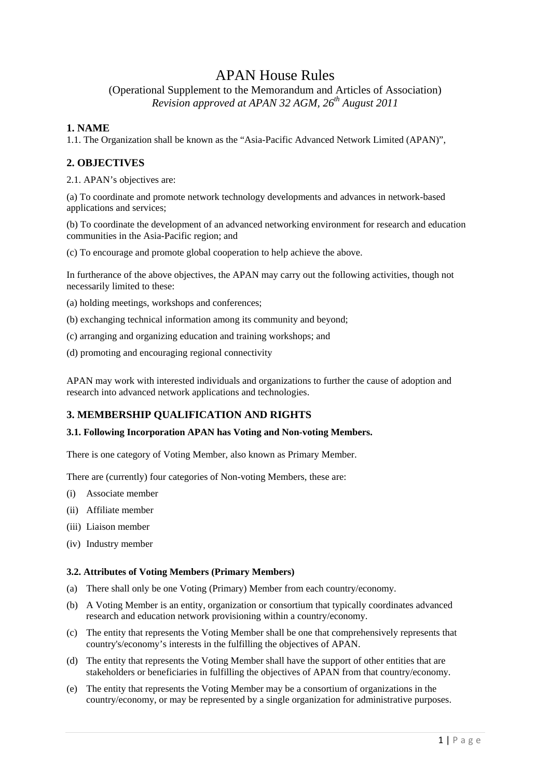# APAN House Rules

(Operational Supplement to the Memorandum and Articles of Association) *Revision approved at APAN 32 AGM, 26th August 2011* 

# **1. NAME**

1.1. The Organization shall be known as the "Asia-Pacific Advanced Network Limited (APAN)",

## **2. OBJECTIVES**

2.1. APAN's objectives are:

(a) To coordinate and promote network technology developments and advances in network-based applications and services;

(b) To coordinate the development of an advanced networking environment for research and education communities in the Asia-Pacific region; and

(c) To encourage and promote global cooperation to help achieve the above.

In furtherance of the above objectives, the APAN may carry out the following activities, though not necessarily limited to these:

(a) holding meetings, workshops and conferences;

(b) exchanging technical information among its community and beyond;

(c) arranging and organizing education and training workshops; and

(d) promoting and encouraging regional connectivity

APAN may work with interested individuals and organizations to further the cause of adoption and research into advanced network applications and technologies.

### **3. MEMBERSHIP QUALIFICATION AND RIGHTS**

#### **3.1. Following Incorporation APAN has Voting and Non-voting Members.**

There is one category of Voting Member, also known as Primary Member.

There are (currently) four categories of Non-voting Members, these are:

- (i) Associate member
- (ii) Affiliate member
- (iii) Liaison member
- (iv) Industry member

#### **3.2. Attributes of Voting Members (Primary Members)**

- (a) There shall only be one Voting (Primary) Member from each country/economy.
- (b) A Voting Member is an entity, organization or consortium that typically coordinates advanced research and education network provisioning within a country/economy.
- (c) The entity that represents the Voting Member shall be one that comprehensively represents that country's/economy's interests in the fulfilling the objectives of APAN.
- (d) The entity that represents the Voting Member shall have the support of other entities that are stakeholders or beneficiaries in fulfilling the objectives of APAN from that country/economy.
- (e) The entity that represents the Voting Member may be a consortium of organizations in the country/economy, or may be represented by a single organization for administrative purposes.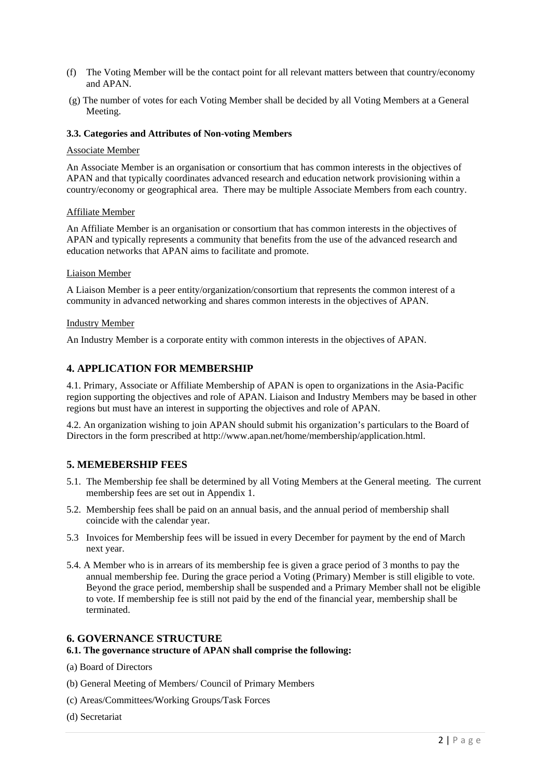- (f) The Voting Member will be the contact point for all relevant matters between that country/economy and APAN.
- (g) The number of votes for each Voting Member shall be decided by all Voting Members at a General Meeting.

### **3.3. Categories and Attributes of Non-voting Members**

#### Associate Member

An Associate Member is an organisation or consortium that has common interests in the objectives of APAN and that typically coordinates advanced research and education network provisioning within a country/economy or geographical area. There may be multiple Associate Members from each country.

#### Affiliate Member

An Affiliate Member is an organisation or consortium that has common interests in the objectives of APAN and typically represents a community that benefits from the use of the advanced research and education networks that APAN aims to facilitate and promote.

#### Liaison Member

A Liaison Member is a peer entity/organization/consortium that represents the common interest of a community in advanced networking and shares common interests in the objectives of APAN.

#### Industry Member

An Industry Member is a corporate entity with common interests in the objectives of APAN.

### **4. APPLICATION FOR MEMBERSHIP**

4.1. Primary, Associate or Affiliate Membership of APAN is open to organizations in the Asia-Pacific region supporting the objectives and role of APAN. Liaison and Industry Members may be based in other regions but must have an interest in supporting the objectives and role of APAN.

4.2. An organization wishing to join APAN should submit his organization's particulars to the Board of Directors in the form prescribed at http://www.apan.net/home/membership/application.html.

### **5. MEMEBERSHIP FEES**

- 5.1. The Membership fee shall be determined by all Voting Members at the General meeting. The current membership fees are set out in Appendix 1.
- 5.2. Membership fees shall be paid on an annual basis, and the annual period of membership shall coincide with the calendar year.
- 5.3 Invoices for Membership fees will be issued in every December for payment by the end of March next year.
- 5.4. A Member who is in arrears of its membership fee is given a grace period of 3 months to pay the annual membership fee. During the grace period a Voting (Primary) Member is still eligible to vote. Beyond the grace period, membership shall be suspended and a Primary Member shall not be eligible to vote. If membership fee is still not paid by the end of the financial year, membership shall be terminated.

#### **6. GOVERNANCE STRUCTURE**

#### **6.1. The governance structure of APAN shall comprise the following:**

- (a) Board of Directors
- (b) General Meeting of Members/ Council of Primary Members
- (c) Areas/Committees/Working Groups/Task Forces
- (d) Secretariat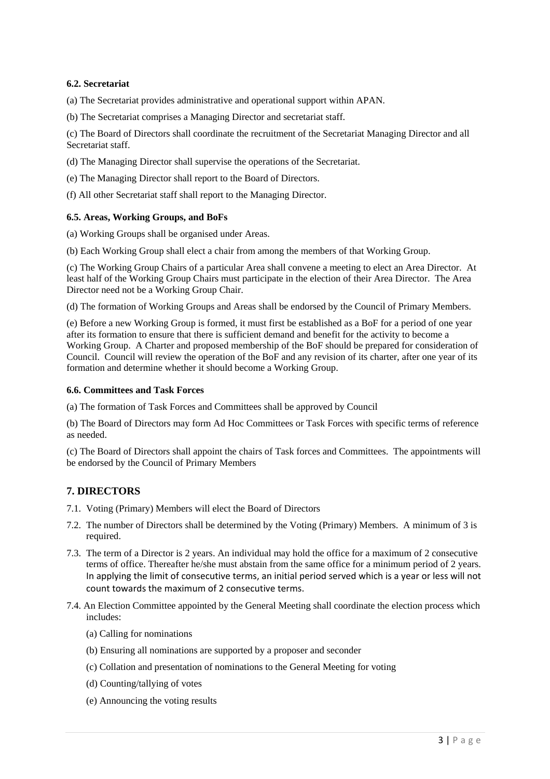### **6.2. Secretariat**

(a) The Secretariat provides administrative and operational support within APAN.

(b) The Secretariat comprises a Managing Director and secretariat staff.

(c) The Board of Directors shall coordinate the recruitment of the Secretariat Managing Director and all Secretariat staff.

(d) The Managing Director shall supervise the operations of the Secretariat.

- (e) The Managing Director shall report to the Board of Directors.
- (f) All other Secretariat staff shall report to the Managing Director.

### **6.5. Areas, Working Groups, and BoFs**

- (a) Working Groups shall be organised under Areas.
- (b) Each Working Group shall elect a chair from among the members of that Working Group.

(c) The Working Group Chairs of a particular Area shall convene a meeting to elect an Area Director. At least half of the Working Group Chairs must participate in the election of their Area Director. The Area Director need not be a Working Group Chair.

(d) The formation of Working Groups and Areas shall be endorsed by the Council of Primary Members.

(e) Before a new Working Group is formed, it must first be established as a BoF for a period of one year after its formation to ensure that there is sufficient demand and benefit for the activity to become a Working Group. A Charter and proposed membership of the BoF should be prepared for consideration of Council. Council will review the operation of the BoF and any revision of its charter, after one year of its formation and determine whether it should become a Working Group.

### **6.6. Committees and Task Forces**

(a) The formation of Task Forces and Committees shall be approved by Council

(b) The Board of Directors may form Ad Hoc Committees or Task Forces with specific terms of reference as needed.

(c) The Board of Directors shall appoint the chairs of Task forces and Committees. The appointments will be endorsed by the Council of Primary Members

# **7. DIRECTORS**

- 7.1. Voting (Primary) Members will elect the Board of Directors
- 7.2. The number of Directors shall be determined by the Voting (Primary) Members. A minimum of 3 is required.
- 7.3. The term of a Director is 2 years. An individual may hold the office for a maximum of 2 consecutive terms of office. Thereafter he/she must abstain from the same office for a minimum period of 2 years. In applying the limit of consecutive terms, an initial period served which is a year or less will not count towards the maximum of 2 consecutive terms.
- 7.4. An Election Committee appointed by the General Meeting shall coordinate the election process which includes:
	- (a) Calling for nominations
	- (b) Ensuring all nominations are supported by a proposer and seconder
	- (c) Collation and presentation of nominations to the General Meeting for voting
	- (d) Counting/tallying of votes
	- (e) Announcing the voting results